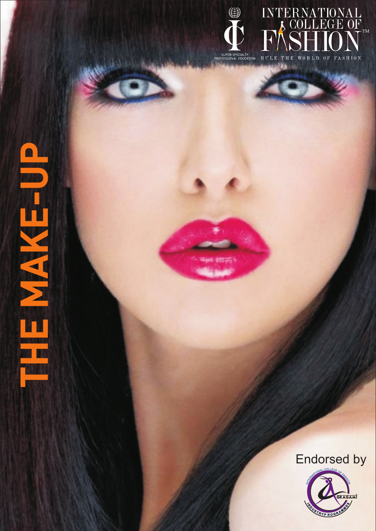

INTERNATIONAL PROFESSIONAL EDUCATION RULE THE WORLD OF FASHION

Endorsed by

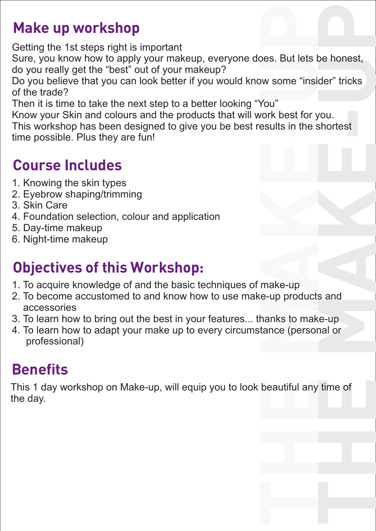## **Make up workshop**

Getting the 1st steps right is important

Sure, you know how to apply your makeup, everyone does. But lets be honest, do you really get the "best" out of your makeup?

Wes. But lets be Horlest,<br>We some "insider" tricks Do you believe that you can look better if you would know some "insider" tricks of the trade?

Then it is time to take the next step to a better looking "You"

Know your Skin and colours and the products that will work best for you.

Know your Skin and colours and the products that will work best for you.<br>This workshop has been designed to give you be best results in the shortest<br>time neesible. Plus thay are funk time possible. Plus they are fun!

# **Course Includes**

- 1. Knowing the skin types
- 2. Eyebrow shaping/trimming
- 3. Skin Care
- 4. Foundation selection, colour and application
- 5. Day-time makeup
- 6. Night-time makeup

# **Objectives of this Workshop:**

- **A** 1. To acquire knowledge of and the basic techniques of make-up
- **A** 2. To become accustomed to and know how to use make-up products and accessories
- 3. To learn how to bring out the best in your features... thanks to make-up
- hanks to mak<br>tance (persor **M**4. To learn how to adapt your make up to every circumstance (personal or professional)

# **Benefits**

This 1 day workshop on Make-up, will equip you to look beautiful any time of<br>the day. the day.

**T**

**H**

**K**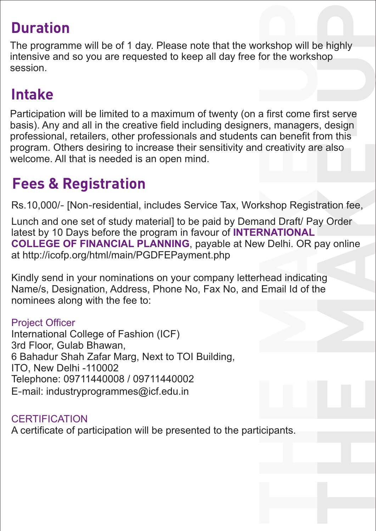## **Duration**

U<sub>p</sub> the World **Duration**<br>The programme will be of 1 day. Please note that the workshop will be highly U intensive and so you are requested to keep all day free for the workshop session.

## **Intake**

program. Others desiring to increase their sensitivity and creativity are also<br>welcome. All that is needed is an open mind.<br>**Feese 8. Besistentian** come first serve<br>nagers, design<br><sup>boofit from this</sup> **E**Participation will be limited to a maximum of twenty (on a first come first serve basis). Any and all in the creative field including designers, managers, design professional, retailers, other professionals and students can benefit from this welcome. All that is needed is an open mind.

### **Fees & Registration**

Rs.10,000/**-** [Non**-**residential, includes Service Tax, Workshop Registration fee,

**Kathop Registration fee,**<br>and Draft/ Pay Order<br>**RNATIONAL** pay online<br>ng<br>ne Lunch and one set of study material] to be paid by Demand Draft/ Pay Order latest by 10 Days before the program in favour of **INTERNATIONAL COLLEGE OF FINANCIAL PLANNING**, payable at New Delhi. OR pay online at http://icofp.org/html/main/PGDFEPayment.php

**AND THE AN AN AIRT COLLEGE OF FINANCIAL PLANNING**, payable at New Delhi. OR pay online<br>at http://icofp.org/html/main/PGDFEPayment.php<br>Kindly send in your nominations on your company letterhead indicating<br>Name/s, Designati Kindly send in your nominations on your company letterhead indicating nominees along with the fee to:

#### Project Officer

International College of Fashion (ICF) 3rd Floor, Gulab Bhawan, 6 Bahadur Shah Zafar Marg, Next to TOI Building, ITO, New Delhi -110002 Telephone: 09711440008 / 09711440002 E**-**mail: industryprogrammes@icf.edu.in

#### **CERTIFICATION**

**Holden**<br>Here<br>Here A certificate of participation will be presented to the participants.